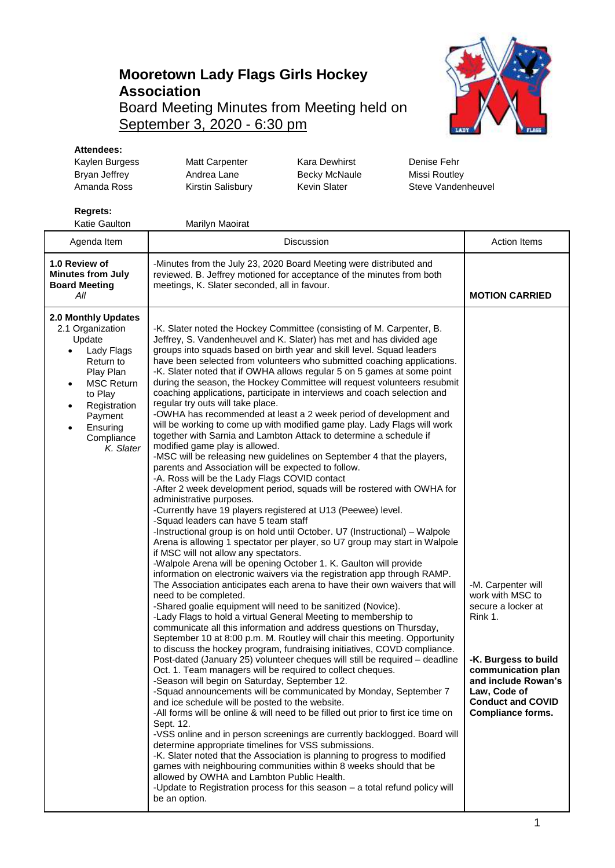## **Mooretown Lady Flags Girls Hockey Association** Board Meeting Minutes from Meeting held on September 3, 2020 - 6:30 pm



## **Attendees:**

| Kaylen Burgess<br>Bryan Jeffrey<br>Amanda Ross                                                                                                                                                                                                  | <b>Matt Carpenter</b><br>Andrea Lane<br>Kirstin Salisbury                                                                                                                                                                                                                                                                                                                                                                                                                                                                                                                                                                                                                                                                                                                                                                                                                                                                                                                                                                                                                                                                                                                                                                                                                                                                                                                                                                                                                                                                                                                                                                                                                                                                                                                                                                                                                                                                                                                                                                                                                                                                                                                                                                                                                                                                                                                                                                                                                                                                                                                                                                                                                                                                                                                                                                                                                                                                       | <b>Kara Dewhirst</b><br><b>Becky McNaule</b><br>Kevin Slater | Denise Fehr<br>Missi Routley                                                                                                                                                                                         | Steve Vandenheuvel    |  |
|-------------------------------------------------------------------------------------------------------------------------------------------------------------------------------------------------------------------------------------------------|---------------------------------------------------------------------------------------------------------------------------------------------------------------------------------------------------------------------------------------------------------------------------------------------------------------------------------------------------------------------------------------------------------------------------------------------------------------------------------------------------------------------------------------------------------------------------------------------------------------------------------------------------------------------------------------------------------------------------------------------------------------------------------------------------------------------------------------------------------------------------------------------------------------------------------------------------------------------------------------------------------------------------------------------------------------------------------------------------------------------------------------------------------------------------------------------------------------------------------------------------------------------------------------------------------------------------------------------------------------------------------------------------------------------------------------------------------------------------------------------------------------------------------------------------------------------------------------------------------------------------------------------------------------------------------------------------------------------------------------------------------------------------------------------------------------------------------------------------------------------------------------------------------------------------------------------------------------------------------------------------------------------------------------------------------------------------------------------------------------------------------------------------------------------------------------------------------------------------------------------------------------------------------------------------------------------------------------------------------------------------------------------------------------------------------------------------------------------------------------------------------------------------------------------------------------------------------------------------------------------------------------------------------------------------------------------------------------------------------------------------------------------------------------------------------------------------------------------------------------------------------------------------------------------------------|--------------------------------------------------------------|----------------------------------------------------------------------------------------------------------------------------------------------------------------------------------------------------------------------|-----------------------|--|
| <b>Regrets:</b><br>Katie Gaulton                                                                                                                                                                                                                | Marilyn Maoirat                                                                                                                                                                                                                                                                                                                                                                                                                                                                                                                                                                                                                                                                                                                                                                                                                                                                                                                                                                                                                                                                                                                                                                                                                                                                                                                                                                                                                                                                                                                                                                                                                                                                                                                                                                                                                                                                                                                                                                                                                                                                                                                                                                                                                                                                                                                                                                                                                                                                                                                                                                                                                                                                                                                                                                                                                                                                                                                 |                                                              |                                                                                                                                                                                                                      |                       |  |
| Agenda Item                                                                                                                                                                                                                                     | Discussion                                                                                                                                                                                                                                                                                                                                                                                                                                                                                                                                                                                                                                                                                                                                                                                                                                                                                                                                                                                                                                                                                                                                                                                                                                                                                                                                                                                                                                                                                                                                                                                                                                                                                                                                                                                                                                                                                                                                                                                                                                                                                                                                                                                                                                                                                                                                                                                                                                                                                                                                                                                                                                                                                                                                                                                                                                                                                                                      |                                                              |                                                                                                                                                                                                                      | <b>Action Items</b>   |  |
| 1.0 Review of<br><b>Minutes from July</b><br><b>Board Meeting</b><br>All                                                                                                                                                                        | -Minutes from the July 23, 2020 Board Meeting were distributed and<br>reviewed. B. Jeffrey motioned for acceptance of the minutes from both<br>meetings, K. Slater seconded, all in favour.                                                                                                                                                                                                                                                                                                                                                                                                                                                                                                                                                                                                                                                                                                                                                                                                                                                                                                                                                                                                                                                                                                                                                                                                                                                                                                                                                                                                                                                                                                                                                                                                                                                                                                                                                                                                                                                                                                                                                                                                                                                                                                                                                                                                                                                                                                                                                                                                                                                                                                                                                                                                                                                                                                                                     |                                                              |                                                                                                                                                                                                                      | <b>MOTION CARRIED</b> |  |
| 2.0 Monthly Updates<br>2.1 Organization<br>Update<br>Lady Flags<br>$\bullet$<br>Return to<br>Play Plan<br><b>MSC Return</b><br>$\bullet$<br>to Play<br>Registration<br>$\bullet$<br>Payment<br>Ensuring<br>$\bullet$<br>Compliance<br>K. Slater | -K. Slater noted the Hockey Committee (consisting of M. Carpenter, B.<br>Jeffrey, S. Vandenheuvel and K. Slater) has met and has divided age<br>groups into squads based on birth year and skill level. Squad leaders<br>have been selected from volunteers who submitted coaching applications.<br>-K. Slater noted that if OWHA allows regular 5 on 5 games at some point<br>during the season, the Hockey Committee will request volunteers resubmit<br>coaching applications, participate in interviews and coach selection and<br>regular try outs will take place.<br>-OWHA has recommended at least a 2 week period of development and<br>will be working to come up with modified game play. Lady Flags will work<br>together with Sarnia and Lambton Attack to determine a schedule if<br>modified game play is allowed.<br>-MSC will be releasing new guidelines on September 4 that the players,<br>parents and Association will be expected to follow.<br>-A. Ross will be the Lady Flags COVID contact<br>-After 2 week development period, squads will be rostered with OWHA for<br>administrative purposes.<br>-Currently have 19 players registered at U13 (Peewee) level.<br>-Squad leaders can have 5 team staff<br>-Instructional group is on hold until October. U7 (Instructional) - Walpole<br>Arena is allowing 1 spectator per player, so U7 group may start in Walpole<br>if MSC will not allow any spectators.<br>-Walpole Arena will be opening October 1. K. Gaulton will provide<br>information on electronic waivers via the registration app through RAMP.<br>The Association anticipates each arena to have their own waivers that will<br>need to be completed.<br>-Shared goalie equipment will need to be sanitized (Novice).<br>-Lady Flags to hold a virtual General Meeting to membership to<br>communicate all this information and address questions on Thursday,<br>September 10 at 8:00 p.m. M. Routley will chair this meeting. Opportunity<br>to discuss the hockey program, fundraising initiatives, COVD compliance.<br>Post-dated (January 25) volunteer cheques will still be required - deadline<br>Oct. 1. Team managers will be required to collect cheques.<br>-Season will begin on Saturday, September 12.<br>-Squad announcements will be communicated by Monday, September 7<br>and ice schedule will be posted to the website.<br>-All forms will be online & will need to be filled out prior to first ice time on<br>Sept. 12.<br>-VSS online and in person screenings are currently backlogged. Board will<br>determine appropriate timelines for VSS submissions.<br>-K. Slater noted that the Association is planning to progress to modified<br>games with neighbouring communities within 8 weeks should that be<br>allowed by OWHA and Lambton Public Health.<br>-Update to Registration process for this season - a total refund policy will<br>be an option. |                                                              | -M. Carpenter will<br>work with MSC to<br>secure a locker at<br>Rink 1.<br>-K. Burgess to build<br>communication plan<br>and include Rowan's<br>Law, Code of<br><b>Conduct and COVID</b><br><b>Compliance forms.</b> |                       |  |